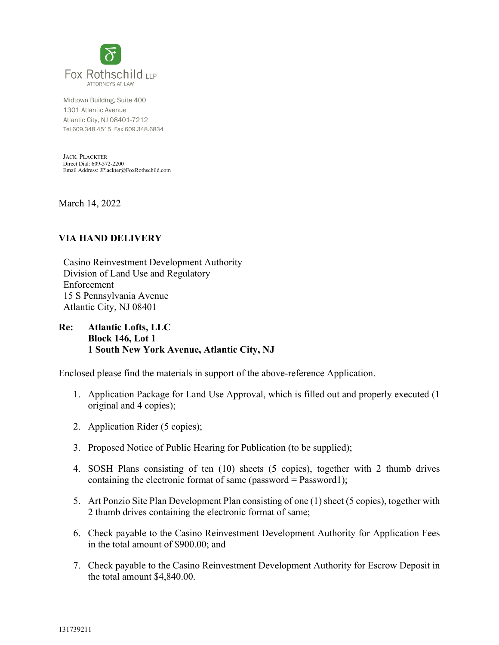

Midtown Building, Suite 400 1301 Atlantic Avenue Atlantic City, NJ 08401-7212 Tel 609.348.4515 Fax 609.348.6834

JACK PLACKTER Direct Dial: 609-572-2200 Email Address: JPlackter@FoxRothschild.com

March 14, 2022

## **VIA HAND DELIVERY**

Casino Reinvestment Development Authority Division of Land Use and Regulatory Enforcement 15 S Pennsylvania Avenue Atlantic City, NJ 08401

**Re: Atlantic Lofts, LLC Block 146, Lot 1 1 South New York Avenue, Atlantic City, NJ** 

Enclosed please find the materials in support of the above-reference Application.

- 1. Application Package for Land Use Approval, which is filled out and properly executed (1 original and 4 copies);
- 2. Application Rider (5 copies);
- 3. Proposed Notice of Public Hearing for Publication (to be supplied);
- 4. SOSH Plans consisting of ten (10) sheets (5 copies), together with 2 thumb drives containing the electronic format of same (password = Password1);
- 5. Art Ponzio Site Plan Development Plan consisting of one (1) sheet (5 copies), together with 2 thumb drives containing the electronic format of same;
- 6. Check payable to the Casino Reinvestment Development Authority for Application Fees in the total amount of \$900.00; and
- 7. Check payable to the Casino Reinvestment Development Authority for Escrow Deposit in the total amount \$4,840.00.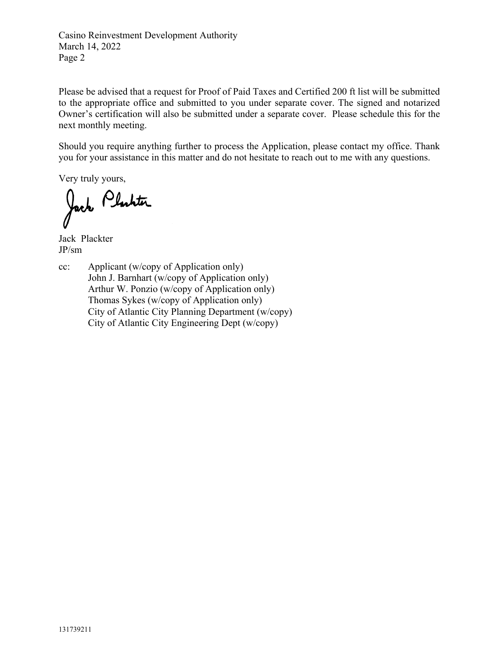Casino Reinvestment Development Authority March 14, 2022 Page 2

Please be advised that a request for Proof of Paid Taxes and Certified 200 ft list will be submitted to the appropriate office and submitted to you under separate cover. The signed and notarized Owner's certification will also be submitted under a separate cover. Please schedule this for the next monthly meeting.

Should you require anything further to process the Application, please contact my office. Thank you for your assistance in this matter and do not hesitate to reach out to me with any questions.

Very truly yours,

Jack Platter

Jack Plackter JP/sm

cc: Applicant (w/copy of Application only) John J. Barnhart (w/copy of Application only) Arthur W. Ponzio (w/copy of Application only) Thomas Sykes (w/copy of Application only) City of Atlantic City Planning Department (w/copy) City of Atlantic City Engineering Dept (w/copy)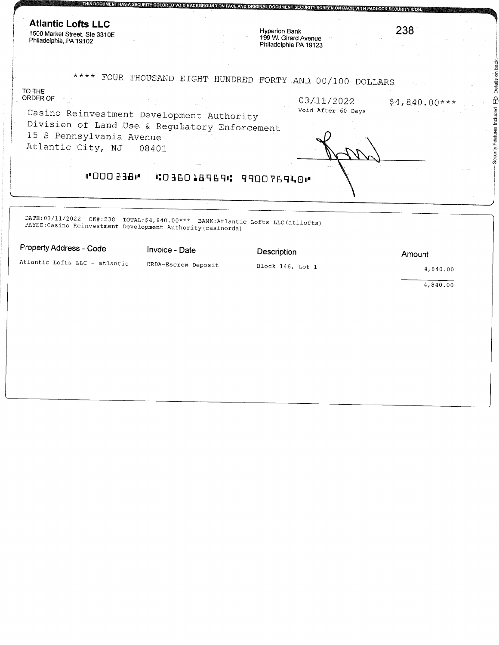| <b>Atlantic Lofts LLC</b><br>238<br><b>Hyperion Bank</b><br>1500 Market Street, Ste 3310E<br>199 W. Girard Avenue<br>Philadelphia, PA 19102<br>Philadelphia PA 19123<br>**** FOUR THOUSAND EIGHT HUNDRED FORTY AND 00/100 DOLLARS<br>03/11/2022<br>$$4,840.00***$<br>Void After 60 Days<br>08401<br><b>MBER OOO</b><br><b>COBBOLBAGH: 990076940#</b><br>Invoice - Date<br>Description<br>Amount<br>CRDA-Escrow Deposit<br>Block 146, Lot 1<br>4,840.00<br>4,840.00 |  |
|--------------------------------------------------------------------------------------------------------------------------------------------------------------------------------------------------------------------------------------------------------------------------------------------------------------------------------------------------------------------------------------------------------------------------------------------------------------------|--|
| Casino Reinvestment Development Authority<br>Division of Land Use & Regulatory Enforcement<br>15 S Pennsylvania Avenue                                                                                                                                                                                                                                                                                                                                             |  |
| TO THE<br>ORDER OF<br>Atlantic City, NJ<br>DATE:03/11/2022 CK#:238 TOTAL:\$4,840.00*** BANK:Atlantic Lofts LLC(atllofts)<br>PAYEE: Casino Reinvestment Development Authority (casinorda)                                                                                                                                                                                                                                                                           |  |
| Property Address - Code<br>Atlantic Lofts LLC - atlantic                                                                                                                                                                                                                                                                                                                                                                                                           |  |
|                                                                                                                                                                                                                                                                                                                                                                                                                                                                    |  |
|                                                                                                                                                                                                                                                                                                                                                                                                                                                                    |  |
|                                                                                                                                                                                                                                                                                                                                                                                                                                                                    |  |
|                                                                                                                                                                                                                                                                                                                                                                                                                                                                    |  |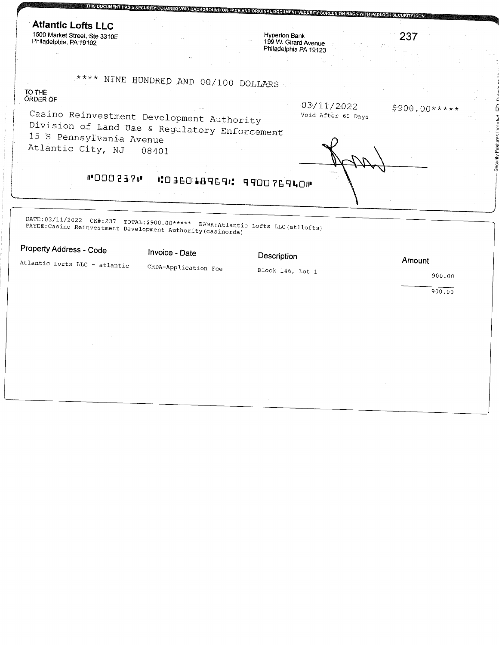| <b>Atlantic Lofts LLC</b>                                                                                                                     |                                      |                                       |              |
|-----------------------------------------------------------------------------------------------------------------------------------------------|--------------------------------------|---------------------------------------|--------------|
| 1500 Market Street, Ste 3310E<br>Philadelphia, PA 19102                                                                                       |                                      | Hyperion Bank<br>199 W. Girard Avenue | 237          |
|                                                                                                                                               |                                      | Philadelphia PA 19123                 |              |
|                                                                                                                                               |                                      |                                       |              |
|                                                                                                                                               |                                      |                                       |              |
|                                                                                                                                               | **** NINE HUNDRED AND 00/100 DOLLARS |                                       |              |
| TO THE                                                                                                                                        |                                      |                                       |              |
| <b>ORDER OF</b>                                                                                                                               |                                      | 03/11/2022                            |              |
| Casino Reinvestment Development Authority                                                                                                     |                                      | Void After 60 Days                    | $$900.00***$ |
|                                                                                                                                               |                                      |                                       |              |
| Division of Land Use & Regulatory Enforcement                                                                                                 |                                      |                                       |              |
| 15 S Pennsylvania Avenue                                                                                                                      |                                      |                                       |              |
| Atlantic City, NJ                                                                                                                             | 08401                                |                                       |              |
|                                                                                                                                               |                                      |                                       |              |
|                                                                                                                                               |                                      |                                       |              |
|                                                                                                                                               |                                      |                                       |              |
| WAES OOO *II                                                                                                                                  |                                      |                                       |              |
|                                                                                                                                               | <b>COBBOLB969C 990076940P</b>        |                                       |              |
|                                                                                                                                               |                                      |                                       |              |
|                                                                                                                                               |                                      |                                       |              |
|                                                                                                                                               |                                      |                                       |              |
| DATE:03/11/2022 CK#:237 TOTAL:\$900.00***** BANK:Atlantic Lofts LLC(atllofts)<br>PAYEE: Casino Reinvestment Development Authority (casinorda) |                                      |                                       |              |
|                                                                                                                                               |                                      |                                       |              |
| Property Address - Code                                                                                                                       | Invoice - Date                       |                                       |              |
|                                                                                                                                               |                                      | Description                           | Amount       |
|                                                                                                                                               | CRDA-Application Fee                 | Block 146, Lot 1                      | 900.00       |
|                                                                                                                                               |                                      |                                       |              |
| Atlantic Lofts LLC - atlantic                                                                                                                 |                                      |                                       | 900.00       |
|                                                                                                                                               |                                      |                                       |              |
|                                                                                                                                               |                                      |                                       |              |
|                                                                                                                                               |                                      |                                       |              |
|                                                                                                                                               |                                      |                                       |              |
|                                                                                                                                               |                                      |                                       |              |
|                                                                                                                                               |                                      |                                       |              |
|                                                                                                                                               |                                      |                                       |              |
|                                                                                                                                               |                                      |                                       |              |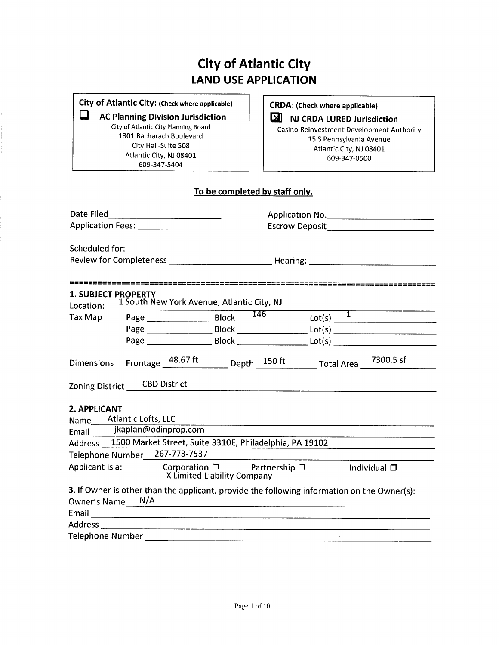# **City of Atlantic City LAND USE APPLICATION**

City of Atlantic City: (Check where applicable)

 $\Box$ 

**AC Planning Division Jurisdiction** City of Atlantic City Planning Board 1301 Bacharach Boulevard City Hall-Suite 508 Atlantic City, NJ 08401 609-347-5404

**CRDA:** (Check where applicable)

NJ CRDA LURED Jurisdiction Casino Reinvestment Development Authority 15 S Pennsylvania Avenue Atlantic City, NJ 08401 609-347-0500

## To be completed by staff only.

|                                         | Application Fees: _____________________    |                                                                                            | Application No.                                                                             |
|-----------------------------------------|--------------------------------------------|--------------------------------------------------------------------------------------------|---------------------------------------------------------------------------------------------|
| Scheduled for:                          |                                            |                                                                                            |                                                                                             |
|                                         |                                            |                                                                                            | --------------------------------                                                            |
| <b>1. SUBJECT PROPERTY</b><br>Location: | 1 South New York Avenue, Atlantic City, NJ |                                                                                            |                                                                                             |
| Tax Map                                 |                                            |                                                                                            | Page Block 146 Lot(s) 1                                                                     |
|                                         |                                            |                                                                                            |                                                                                             |
|                                         |                                            |                                                                                            |                                                                                             |
| Dimensions                              | Zoning District CBD District               |                                                                                            | Frontage 48.67 ft Depth 150 ft Total Area 7300.5 sf                                         |
| 2. APPLICANT                            | Name_____Atlantic Lofts, LLC               | <u> 1980 - Andrea Barbara, Amerikaansk politik (</u> † 1908)                               |                                                                                             |
|                                         | Email <i>jkaplan@odinprop.com</i>          |                                                                                            |                                                                                             |
|                                         |                                            | Address 1500 Market Street, Suite 3310E, Philadelphia, PA 19102                            |                                                                                             |
|                                         | Telephone Number 267-773-7537              | Applicant is a: Corporation $\square$ Partnership $\square$<br>X Limited Liability Company | Individual $\Box$                                                                           |
| Owner's Name N/A                        |                                            |                                                                                            | 3. If Owner is other than the applicant, provide the following information on the Owner(s): |
|                                         |                                            |                                                                                            |                                                                                             |
| <b>Telephone Number</b>                 |                                            |                                                                                            |                                                                                             |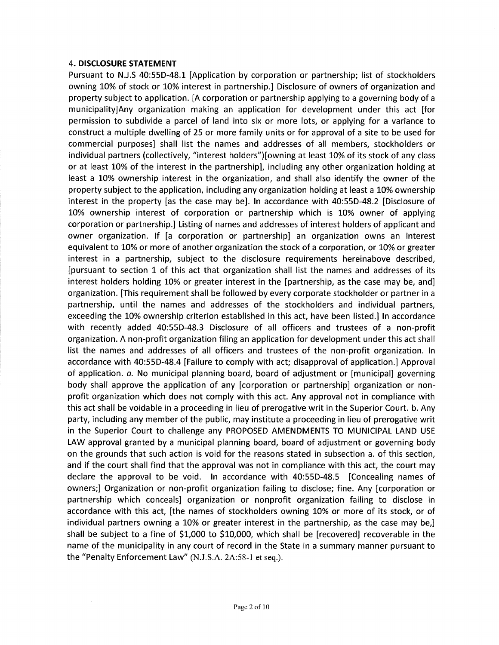#### **4. DISCLOSURE STATEMENT**

Pursuant to N.J.S 40:55D-48.1 [Application by corporation or partnership; list of stockholders owning 10% of stock or 10% interest in partnership.] Disclosure of owners of organization and property subject to application. [A corporation or partnership applying to a governing body of a municipality]Any organization making an application for development under this act [for permission to subdivide a parcel of land into six or more lots, or applying for a variance to construct a multiple dwelling of 25 or more family units or for approval of a site to be used for commercial purposes] shall list the names and addresses of all members, stockholders or individual partners (collectively, "interest holders")[owning at least 10% of its stock of any class or at least 10% of the interest in the partnership], including any other organization holding at least a 10% ownership interest in the organization, and shall also identify the owner of the property subject to the application, including any organization holding at least a 10% ownership interest in the property [as the case may be]. In accordance with 40:55D-48.2 [Disclosure of 10% ownership interest of corporation or partnership which is 10% owner of applying corporation or partnership.] Listing of names and addresses of interest holders of applicant and owner organization. If [a corporation or partnership] an organization owns an interest equivalent to 10% or more of another organization the stock of a corporation, or 10% or greater interest in a partnership, subject to the disclosure requirements hereinabove described, [pursuant to section 1 of this act that organization shall list the names and addresses of its interest holders holding 10% or greater interest in the [partnership, as the case may be, and] organization. [This requirement shall be followed by every corporate stockholder or partner in a partnership, until the names and addresses of the stockholders and individual partners, exceeding the 10% ownership criterion established in this act, have been listed.] In accordance with recently added 40:55D-48.3 Disclosure of all officers and trustees of a non-profit organization. A non-profit organization filing an application for development under this act shall list the names and addresses of all officers and trustees of the non-profit organization. In accordance with 40:55D-48.4 [Failure to comply with act; disapproval of application.] Approval of application. a. No municipal planning board, board of adjustment or [municipal] governing body shall approve the application of any [corporation or partnership] organization or nonprofit organization which does not comply with this act. Any approval not in compliance with this act shall be voidable in a proceeding in lieu of prerogative writ in the Superior Court. b. Any party, including any member of the public, may institute a proceeding in lieu of prerogative writ in the Superior Court to challenge any PROPOSED AMENDMENTS TO MUNICIPAL LAND USE LAW approval granted by a municipal planning board, board of adjustment or governing body on the grounds that such action is void for the reasons stated in subsection a. of this section, and if the court shall find that the approval was not in compliance with this act, the court may declare the approval to be void. In accordance with 40:55D-48.5 [Concealing names of owners;] Organization or non-profit organization failing to disclose; fine. Any [corporation or partnership which conceals] organization or nonprofit organization failing to disclose in accordance with this act, [the names of stockholders owning 10% or more of its stock, or of individual partners owning a 10% or greater interest in the partnership, as the case may be, shall be subject to a fine of \$1,000 to \$10,000, which shall be [recovered] recoverable in the name of the municipality in any court of record in the State in a summary manner pursuant to the "Penalty Enforcement Law" (N.J.S.A. 2A:58-1 et seq.).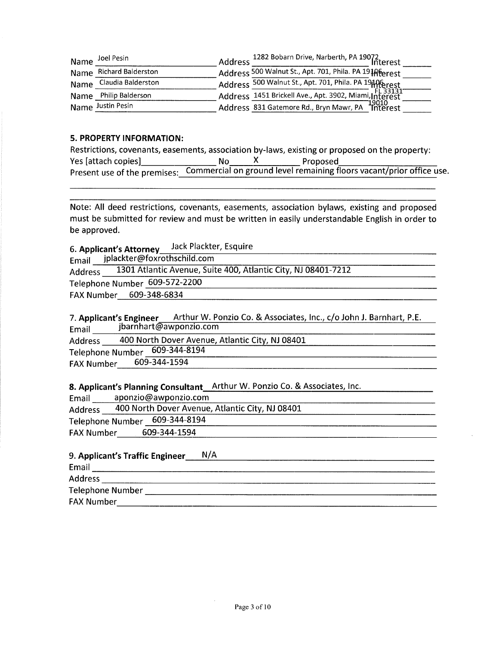| Name Joel Pesin         | Address 1282 Bobarn Drive, Narberth, PA 19072           |
|-------------------------|---------------------------------------------------------|
| Name Richard Balderston | Address 500 Walnut St., Apt. 701, Phila. PA 191 Aperest |
| Name Claudia Balderston | Address 500 Walnut St., Apt. 701, Phila. PA 19APerest   |
| Name Philip Balderson   | Address 1451 Brickell Ave., Apt. 3902, Miami, Interest  |
| Name Justin Pesin       | Address 831 Gatemore Rd., Bryn Mawr, PA 19010           |

#### **5. PROPERTY INFORMATION:**

Restrictions, covenants, easements, association by-laws, existing or proposed on the property: 

Note: All deed restrictions, covenants, easements, association bylaws, existing and proposed must be submitted for review and must be written in easily understandable English in order to be approved.

#### Jack Plackter, Esquire **6. Applicant's Attorney**

| Email          | jplackter@foxrothschild.com                                   |
|----------------|---------------------------------------------------------------|
| <b>Address</b> | 1301 Atlantic Avenue, Suite 400, Atlantic City, NJ 08401-7212 |
|                | Telephone Number 609-572-2200                                 |
|                | FAX Number 609-348-6834                                       |

| 7. Applicant's Engineer | Arthur W. Ponzio Co. & Associates, Inc., c/o John J. Barnhart, P.E. |  |
|-------------------------|---------------------------------------------------------------------|--|
| Email                   | jbarnhart@awponzio.com                                              |  |

Address 400 North Dover Avenue, Atlantic City, NJ 08401

Telephone Number 609-344-8194

FAX Number 609-344-1594

#### 8. Applicant's Planning Consultant Arthur W. Ponzio Co. & Associates, Inc.

| Email                   | aponzio@awponzio.com                            |
|-------------------------|-------------------------------------------------|
| Address                 | 400 North Dover Avenue, Atlantic City, NJ 08401 |
| <b>Telephone Number</b> | 609-344-8194                                    |
| <b>FAX Number</b>       | 609-344-1594                                    |
|                         |                                                 |

##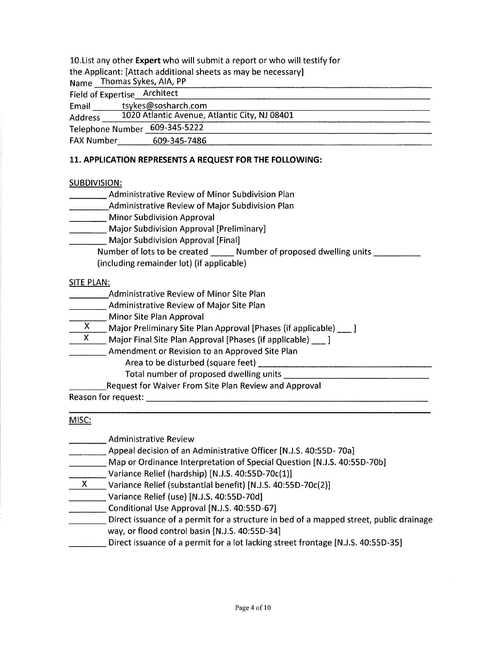10. List any other Expert who will submit a report or who will testify for the Applicant: [Attach additional sheets as may be necessary]

Name Thomas Sykes, AIA, PP

Field of Expertise Architect

| Email             | tsykes@sosnarch.com           |                                               |  |
|-------------------|-------------------------------|-----------------------------------------------|--|
| <b>Address</b>    |                               | 1020 Atlantic Avenue, Atlantic City, NJ 08401 |  |
|                   | Telephone Number 609-345-5222 |                                               |  |
| <b>FAX Number</b> | 609-345-7486                  |                                               |  |

## 11. APPLICATION REPRESENTS A REQUEST FOR THE FOLLOWING:

## **SUBDIVISION:**

- Administrative Review of Minor Subdivision Plan
- Administrative Review of Major Subdivision Plan
- Minor Subdivision Approval
- Major Subdivision Approval [Preliminary]
- Major Subdivision Approval [Final]
	- Number of lots to be created Number of proposed dwelling units
	- (including remainder lot) (if applicable)

## **SITE PLAN:**

- Administrative Review of Minor Site Plan
- Administrative Review of Major Site Plan
- Minor Site Plan Approval
- $X$  Major Preliminary Site Plan Approval [Phases (if applicable) \_\_\_ ]
- $\mathsf{X}$  and  $\mathsf{X}$ Major Final Site Plan Approval [Phases (if applicable) \_\_\_ ]
- Amendment or Revision to an Approved Site Plan
	- Area to be disturbed (square feet) \_\_\_\_\_
	- Total number of proposed dwelling units
	- Request for Waiver From Site Plan Review and Approval

## MISC:

- **Administrative Review**
- Appeal decision of an Administrative Officer [N.J.S. 40:55D-70a]
- Map or Ordinance Interpretation of Special Question [N.J.S. 40:55D-70b]
- Variance Relief (hardship) [N.J.S. 40:55D-70c(1)]
- X Variance Relief (substantial benefit) [N.J.S. 40:55D-70c(2)]
- Variance Relief (use) [N.J.S. 40:55D-70d]
- Conditional Use Approval [N.J.S. 40:55D-67]
- Direct issuance of a permit for a structure in bed of a mapped street, public drainage way, or flood control basin [N.J.S. 40:55D-34]
- Direct issuance of a permit for a lot lacking street frontage [N.J.S. 40:55D-35]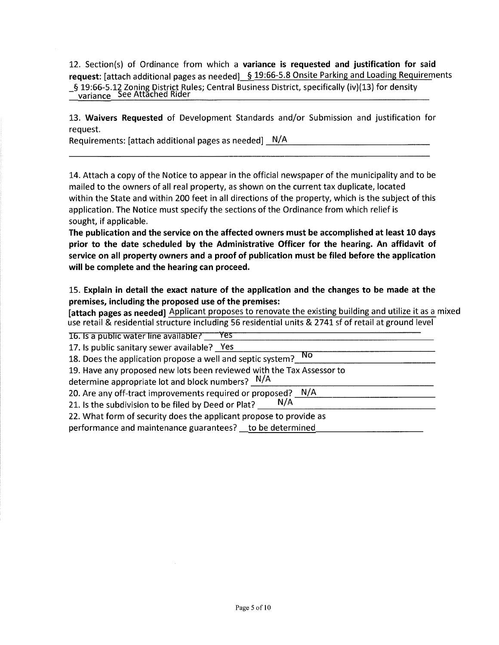12. Section(s) of Ordinance from which a variance is requested and justification for said request: [attach additional pages as needed] § 19:66-5.8 Onsite Parking and Loading Requirements -§ 19:66-5.12 Zoning District Rules; Central Business District, specifically (iv)(13) for density<br>variance See Attached Rider

13. Waivers Requested of Development Standards and/or Submission and justification for request.

Requirements: [attach additional pages as needed] N/A

14. Attach a copy of the Notice to appear in the official newspaper of the municipality and to be mailed to the owners of all real property, as shown on the current tax duplicate, located within the State and within 200 feet in all directions of the property, which is the subject of this application. The Notice must specify the sections of the Ordinance from which relief is sought, if applicable.

The publication and the service on the affected owners must be accomplished at least 10 days prior to the date scheduled by the Administrative Officer for the hearing. An affidavit of service on all property owners and a proof of publication must be filed before the application will be complete and the hearing can proceed.

15. Explain in detail the exact nature of the application and the changes to be made at the premises, including the proposed use of the premises:

[attach pages as needed] Applicant proposes to renovate the existing building and utilize it as a mixed use retail & residential structure including 56 residential units & 2741 sf of retail at ground level

| Yes <sup>-</sup><br>16. Is a public water line available?                                                                         |
|-----------------------------------------------------------------------------------------------------------------------------------|
| 17. Is public sanitary sewer available? Yes                                                                                       |
| N0.<br>18. Does the application propose a well and septic system?                                                                 |
| 19. Have any proposed new lots been reviewed with the Tax Assessor to<br>determine appropriate lot and block numbers? N/A         |
| 20. Are any off-tract improvements required or proposed? N/A<br>N/A<br>21. Is the subdivision to be filed by Deed or Plat?        |
| 22. What form of security does the applicant propose to provide as<br>performance and maintenance guarantees? __ to be determined |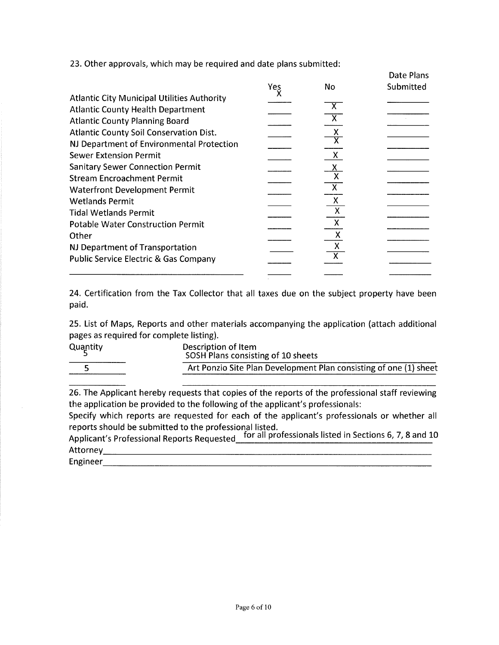23. Other approvals, which may be required and date plans submitted:

|                                                    |     |                         | <b>DULL 1 10113</b> |
|----------------------------------------------------|-----|-------------------------|---------------------|
|                                                    | Yes | <b>No</b>               | Submitted           |
| <b>Atlantic City Municipal Utilities Authority</b> |     |                         |                     |
| <b>Atlantic County Health Department</b>           |     | $\mathsf{X}$            |                     |
| <b>Atlantic County Planning Board</b>              |     |                         |                     |
| <b>Atlantic County Soil Conservation Dist.</b>     |     | χ                       |                     |
| NJ Department of Environmental Protection          |     |                         |                     |
| <b>Sewer Extension Permit</b>                      |     | $\mathsf{X}$            |                     |
| <b>Sanitary Sewer Connection Permit</b>            |     |                         |                     |
| <b>Stream Encroachment Permit</b>                  |     |                         |                     |
| <b>Waterfront Development Permit</b>               |     | $\overline{\mathsf{x}}$ |                     |
| <b>Wetlands Permit</b>                             |     | X                       |                     |
| <b>Tidal Wetlands Permit</b>                       |     |                         |                     |
| <b>Potable Water Construction Permit</b>           |     | $\mathsf{X}$            |                     |
| Other                                              |     | X                       |                     |
| NJ Department of Transportation                    |     |                         |                     |
| <b>Public Service Electric &amp; Gas Company</b>   |     |                         |                     |
|                                                    |     |                         |                     |

Date Plane

24. Certification from the Tax Collector that all taxes due on the subject property have been paid.

25. List of Maps, Reports and other materials accompanying the application (attach additional pages as required for complete listing).

| Quantity | Description of Item<br>SOSH Plans consisting of 10 sheets         |
|----------|-------------------------------------------------------------------|
|          | Art Ponzio Site Plan Development Plan consisting of one (1) sheet |

26. The Applicant hereby requests that copies of the reports of the professional staff reviewing the application be provided to the following of the applicant's professionals:

Specify which reports are requested for each of the applicant's professionals or whether all

Engineer\_\_\_\_\_\_\_\_\_\_\_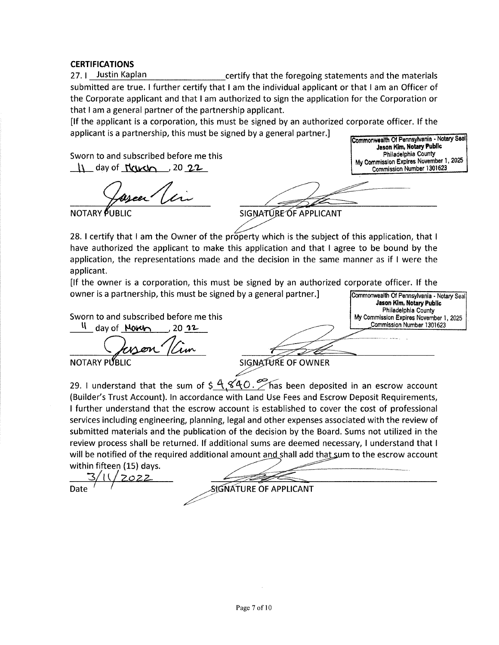#### **CERTIFICATIONS**

27. Justin Kaplan certify that the foregoing statements and the materials submitted are true. I further certify that I am the individual applicant or that I am an Officer of the Corporate applicant and that I am authorized to sign the application for the Corporation or that I am a general partner of the partnership applicant.

[If the applicant is a corporation, this must be signed by an authorized corporate officer. If the applicant is a partnership, this must be signed by a general partner.

Sworn to and subscribed before me this  $\frac{11}{10}$  day of  $\frac{1}{10}$  day of  $\frac{1}{10}$ 

Commonwealth Of Pennsylvania - Notary Seal Jason Kim, Notary Public Philadelphia County My Commission Expires November 1, 2025 Commission Number 1301623

Jason Kim, Notary Public Philadelphia County

My Commission Expires November 1, 2025 Commission Number 1301623

**NOTARY PUBLIC** 

SIGNATURE OF APPLICANT

28. I certify that I am the Owner of the property which is the subject of this application, that I have authorized the applicant to make this application and that I agree to be bound by the application, the representations made and the decision in the same manner as if I were the applicant.

[If the owner is a corporation, this must be signed by an authorized corporate officer. If the owner is a partnership, this must be signed by a general partner.] Commonwealth Of Pennsylvania - Notary Seal

Sworn to and subscribed before me this

 $\frac{11}{20}$  day of Novem , 20 22

NOTARY PUBLIC

SIGNATURE OF OWNER

29. I understand that the sum of  $\frac{6}{5}$  4.840. Thas been deposited in an escrow account (Builder's Trust Account). In accordance with Land Use Fees and Escrow Deposit Requirements, I further understand that the escrow account is established to cover the cost of professional services including engineering, planning, legal and other expenses associated with the review of submitted materials and the publication of the decision by the Board. Sums not utilized in the review process shall be returned. If additional sums are deemed necessary, I understand that I will be notified of the required additional amount and shall add that sum to the escrow account within fifteen (15) days.

 $7022$ Date

SIGNATURE OF APPLICANT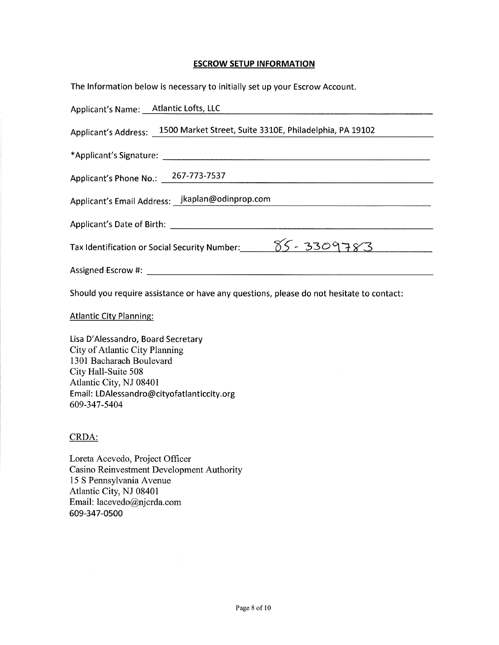#### **ESCROW SETUP INFORMATION**

| The Information below is necessary to initially set up your Escrow Account.  |
|------------------------------------------------------------------------------|
| Applicant's Name: __ Atlantic Lofts, LLC                                     |
| Applicant's Address: 1500 Market Street, Suite 3310E, Philadelphia, PA 19102 |
|                                                                              |
| Applicant's Phone No.: 267-773-7537                                          |
| Applicant's Email Address: jkaplan@odinprop.com                              |
| Applicant's Date of Birth: Applicant's Date of Birth:                        |
| Tax Identification or Social Security Number: $\frac{85}{5}$ - 3309783       |
|                                                                              |

Should you require assistance or have any questions, please do not hesitate to contact:

**Atlantic City Planning:** 

Lisa D'Alessandro, Board Secretary City of Atlantic City Planning 1301 Bacharach Boulevard City Hall-Suite 508 Atlantic City, NJ 08401 Email: LDAlessandro@cityofatlanticcity.org 609-347-5404

### CRDA:

Loreta Acevedo, Project Officer **Casino Reinvestment Development Authority** 15 S Pennsylvania Avenue Atlantic City, NJ 08401 Email: lacevedo@njcrda.com 609-347-0500